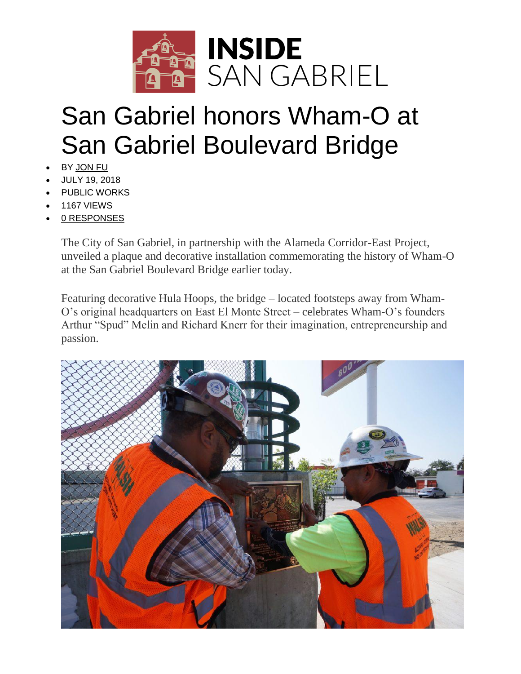

## San Gabriel honors Wham-O at San Gabriel Boulevard Bridge

- BY [JON](http://www.insidesangabriel.com/author/jon-fu/) FU
- JULY 19, 2018
- PUBLIC [WORKS](http://www.insidesangabriel.com/category/city-of-san-gabriel/public-works/)
- 1167 VIEWS
- 0 [RESPONSES](http://www.insidesangabriel.com/2018/07/19/san-gabriel-honors-wham-o-at-san-gabriel-boulevard-bridge/#respond)

The City of San Gabriel, in partnership with the Alameda Corridor-East Project, unveiled a plaque and decorative installation commemorating the history of Wham-O at the San Gabriel Boulevard Bridge earlier today.

Featuring decorative Hula Hoops, the bridge – located footsteps away from Wham-O's original headquarters on East El Monte Street – celebrates Wham-O's founders Arthur "Spud" Melin and Richard Knerr for their imagination, entrepreneurship and passion.

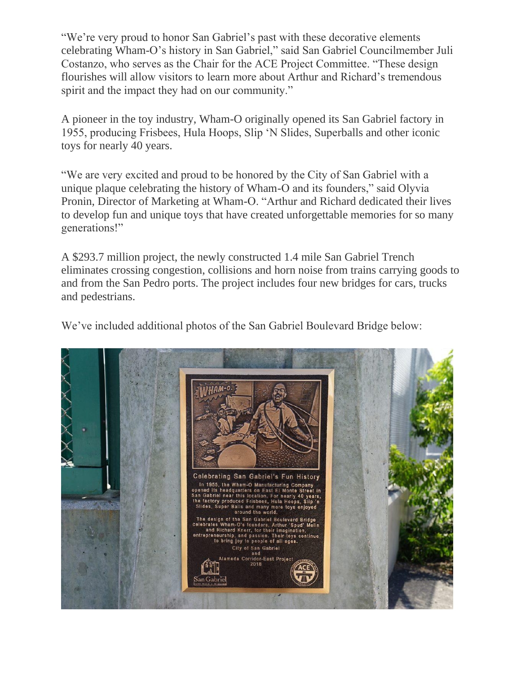"We're very proud to honor San Gabriel's past with these decorative elements celebrating Wham-O's history in San Gabriel," said San Gabriel Councilmember Juli Costanzo, who serves as the Chair for the ACE Project Committee. "These design flourishes will allow visitors to learn more about Arthur and Richard's tremendous spirit and the impact they had on our community."

A pioneer in the toy industry, Wham-O originally opened its San Gabriel factory in 1955, producing Frisbees, Hula Hoops, Slip 'N Slides, Superballs and other iconic toys for nearly 40 years.

"We are very excited and proud to be honored by the City of San Gabriel with a unique plaque celebrating the history of Wham-O and its founders," said Olyvia Pronin, Director of Marketing at Wham-O. "Arthur and Richard dedicated their lives to develop fun and unique toys that have created unforgettable memories for so many generations!"

A \$293.7 million project, the newly constructed 1.4 mile San Gabriel Trench eliminates crossing congestion, collisions and horn noise from trains carrying goods to and from the San Pedro ports. The project includes four new bridges for cars, trucks and pedestrians.

We've included additional photos of the San Gabriel Boulevard Bridge below: